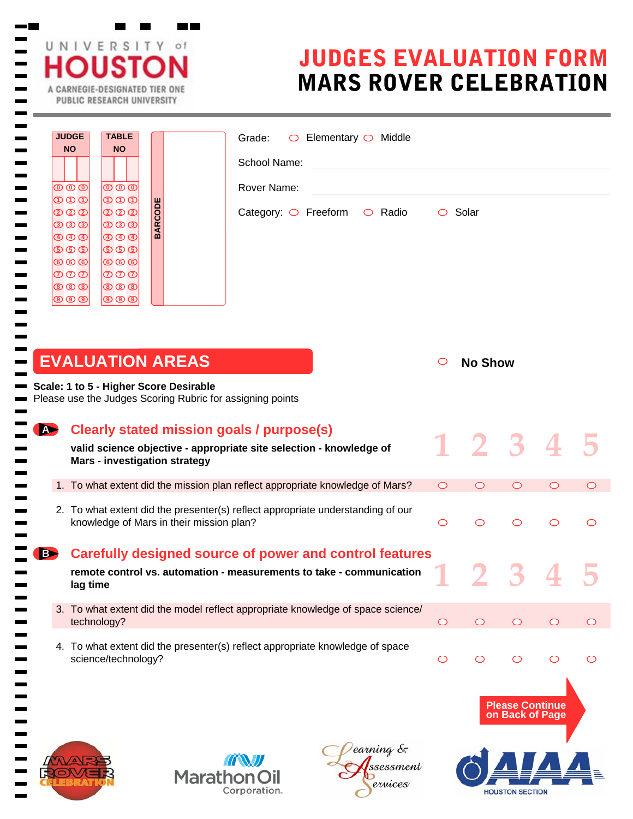|          | <b>NO</b><br><b>NO</b>                                                                                                                                                                                                                                                                                                                                                                                                                                                            | Elementary $\bigcirc$ Middle<br>Grade:<br>$\circ$<br>School Name:                                                               |               |                |   |            |  |
|----------|-----------------------------------------------------------------------------------------------------------------------------------------------------------------------------------------------------------------------------------------------------------------------------------------------------------------------------------------------------------------------------------------------------------------------------------------------------------------------------------|---------------------------------------------------------------------------------------------------------------------------------|---------------|----------------|---|------------|--|
|          | $\overline{\mathbb{O}}\,\overline{\mathbb{O}}\,\overline{\mathbb{O}}$<br>$\overline{\mathbb{O}}\,\overline{\mathbb{O}}\,\overline{\mathbb{O}}$<br>$\overline{\circledcirc}$<br><b>BARCODE</b><br>(2 2 2 1<br>$\circledcirc$ $\circledcirc$<br> ூ ூ ூ<br><b>ு</b> 9<br>$\overline{\circledcirc}$<br>$\circledcirc$ $\circledcirc$<br> ந க க<br><b>® ® ®</b><br>$\circledcirc$<br>ை வ<br> ⑦ ⑦ ⑦ <br>ののの<br>$  \circledcirc \circledcirc  $<br><b>® ® ®</b><br>಄಄಄<br>$\circledcirc$ | Rover Name:<br>Category: $\bigcirc$ Freeform<br>$\circ$ Radio                                                                   | $\circ$ Solar |                |   |            |  |
|          |                                                                                                                                                                                                                                                                                                                                                                                                                                                                                   |                                                                                                                                 |               |                |   |            |  |
|          | <b>EVALUATION AREAS</b><br>Scale: 1 to 5 - Higher Score Desirable<br>Please use the Judges Scoring Rubric for assigning points                                                                                                                                                                                                                                                                                                                                                    |                                                                                                                                 | O             | <b>No Show</b> |   |            |  |
| <b>P</b> | <b>Mars - investigation strategy</b>                                                                                                                                                                                                                                                                                                                                                                                                                                              | <b>Clearly stated mission goals / purpose(s)</b><br>valid science objective - appropriate site selection - knowledge of         |               | 1 2 3 4        |   |            |  |
|          |                                                                                                                                                                                                                                                                                                                                                                                                                                                                                   | 1. To what extent did the mission plan reflect appropriate knowledge of Mars?                                                   |               |                |   |            |  |
|          | knowledge of Mars in their mission plan?                                                                                                                                                                                                                                                                                                                                                                                                                                          | 2. To what extent did the presenter(s) reflect appropriate understanding of our                                                 | $\bigcirc$    | $\circ$        | O |            |  |
| B        | lag time                                                                                                                                                                                                                                                                                                                                                                                                                                                                          | Carefully designed source of power and control features<br>remote control vs. automation - measurements to take - communication |               |                |   |            |  |
|          | technology?                                                                                                                                                                                                                                                                                                                                                                                                                                                                       | 3. To what extent did the model reflect appropriate knowledge of space science/                                                 | $\bigcirc$    | $\circ$        |   | $\bigcirc$ |  |



 $\mathbf{r}$ 

 $\sim$